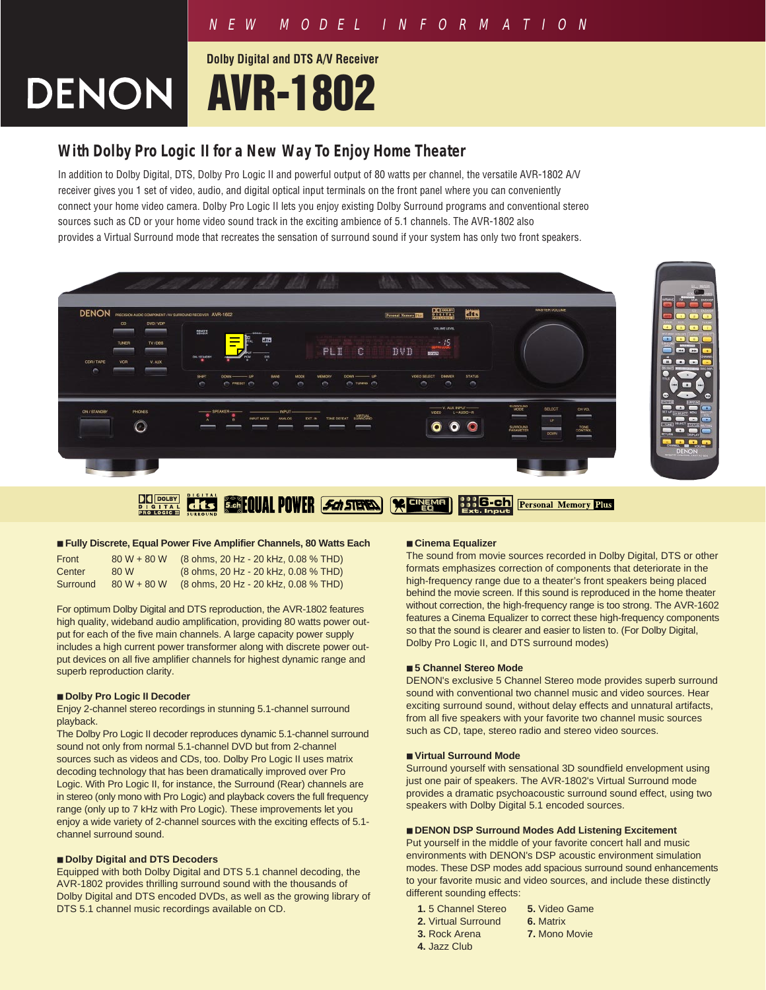# **Dolby Digital and DTS A/V Receiver DENON AVR-1802**

# **With Dolby Pro Logic II for a New Way To Enjoy Home Theater**

In addition to Dolby Digital, DTS, Dolby Pro Logic II and powerful output of 80 watts per channel, the versatile AVR-1802 A/V receiver gives you 1 set of video, audio, and digital optical input terminals on the front panel where you can conveniently connect your home video camera. Dolby Pro Logic II lets you enjoy existing Dolby Surround programs and conventional stereo sources such as CD or your home video sound track in the exciting ambience of 5.1 channels. The AVR-1802 also provides a Virtual Surround mode that recreates the sensation of surround sound if your system has only two front speakers.



### ■ **Fully Discrete, Equal Power Five Amplifier Channels, 80 Watts Each**

| Front    | $80 W + 80 W$ | (8 ohms, 20 Hz - 20 kHz, 0.08 % THD) |
|----------|---------------|--------------------------------------|
| Center   | 80 W          | (8 ohms, 20 Hz - 20 kHz, 0.08 % THD) |
| Surround | $80 W + 80 W$ | (8 ohms, 20 Hz - 20 kHz, 0.08 % THD) |

For optimum Dolby Digital and DTS reproduction, the AVR-1802 features high quality, wideband audio amplification, providing 80 watts power output for each of the five main channels. A large capacity power supply includes a high current power transformer along with discrete power output devices on all five amplifier channels for highest dynamic range and superb reproduction clarity.

### ■ **Dolby Pro Logic II Decoder**

Enjoy 2-channel stereo recordings in stunning 5.1-channel surround playback.

The Dolby Pro Logic II decoder reproduces dynamic 5.1-channel surround sound not only from normal 5.1-channel DVD but from 2-channel sources such as videos and CDs, too. Dolby Pro Logic II uses matrix decoding technology that has been dramatically improved over Pro Logic. With Pro Logic II, for instance, the Surround (Rear) channels are in stereo (only mono with Pro Logic) and playback covers the full frequency range (only up to 7 kHz with Pro Logic). These improvements let you enjoy a wide variety of 2-channel sources with the exciting effects of 5.1 channel surround sound.

### ■ **Dolby Digital and DTS Decoders**

Equipped with both Dolby Digital and DTS 5.1 channel decoding, the AVR-1802 provides thrilling surround sound with the thousands of Dolby Digital and DTS encoded DVDs, as well as the growing library of DTS 5.1 channel music recordings available on CD.

#### ■ **Cinema Equalizer**

The sound from movie sources recorded in Dolby Digital, DTS or other formats emphasizes correction of components that deteriorate in the high-frequency range due to a theater's front speakers being placed behind the movie screen. If this sound is reproduced in the home theater without correction, the high-frequency range is too strong. The AVR-1602 features a Cinema Equalizer to correct these high-frequency components so that the sound is clearer and easier to listen to. (For Dolby Digital, Dolby Pro Logic II, and DTS surround modes)

# ■ **5 Channel Stereo Mode**

DENON's exclusive 5 Channel Stereo mode provides superb surround sound with conventional two channel music and video sources. Hear exciting surround sound, without delay effects and unnatural artifacts, from all five speakers with your favorite two channel music sources such as CD, tape, stereo radio and stereo video sources.

#### ■ **Virtual Surround Mode**

Surround yourself with sensational 3D soundfield envelopment using just one pair of speakers. The AVR-1802's Virtual Surround mode provides a dramatic psychoacoustic surround sound effect, using two speakers with Dolby Digital 5.1 encoded sources.

#### ■ **DENON DSP Surround Modes Add Listening Excitement**

Put yourself in the middle of your favorite concert hall and music environments with DENON's DSP acoustic environment simulation modes. These DSP modes add spacious surround sound enhancements to your favorite music and video sources, and include these distinctly different sounding effects:

- **1.** 5 Channel Stereo **5.** Video Game
- **2.** Virtual Surround **6.** Matrix
- **3.** Rock Arena **7.** Mono Movie
- **4.** Jazz Club
- 
- 
- 
- 
-